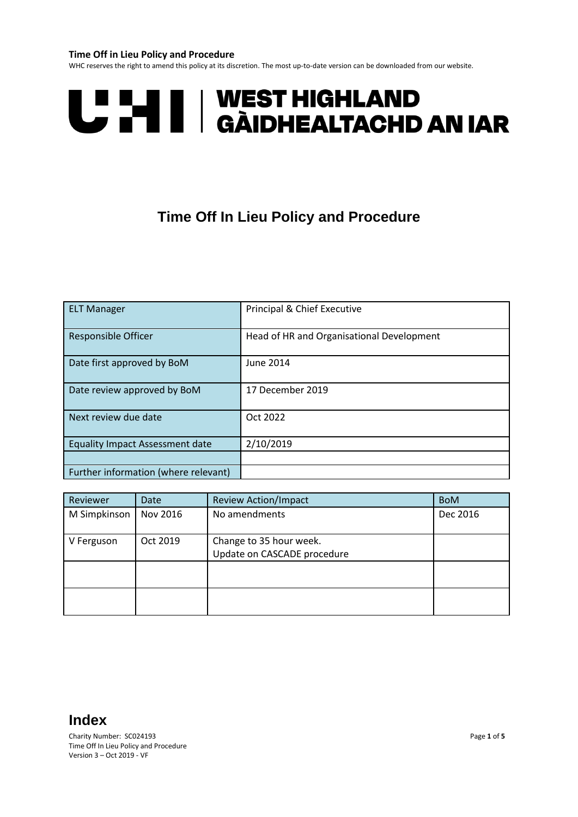### **Time Off in Lieu Policy and Procedure**

WHC reserves the right to amend this policy at its discretion. The most up-to-date version can be downloaded from our website.



# **Time Off In Lieu Policy and Procedure**

| <b>ELT Manager</b>                     | Principal & Chief Executive               |
|----------------------------------------|-------------------------------------------|
| <b>Responsible Officer</b>             | Head of HR and Organisational Development |
| Date first approved by BoM             | June 2014                                 |
| Date review approved by BoM            | 17 December 2019                          |
| Next review due date                   | Oct 2022                                  |
| <b>Equality Impact Assessment date</b> | 2/10/2019                                 |
|                                        |                                           |
| Further information (where relevant)   |                                           |

| Reviewer     | <b>Date</b> | <b>Review Action/Impact</b>                            | <b>BoM</b> |
|--------------|-------------|--------------------------------------------------------|------------|
| M Simpkinson | Nov 2016    | No amendments                                          | Dec 2016   |
| V Ferguson   | Oct 2019    | Change to 35 hour week.<br>Update on CASCADE procedure |            |
|              |             |                                                        |            |
|              |             |                                                        |            |

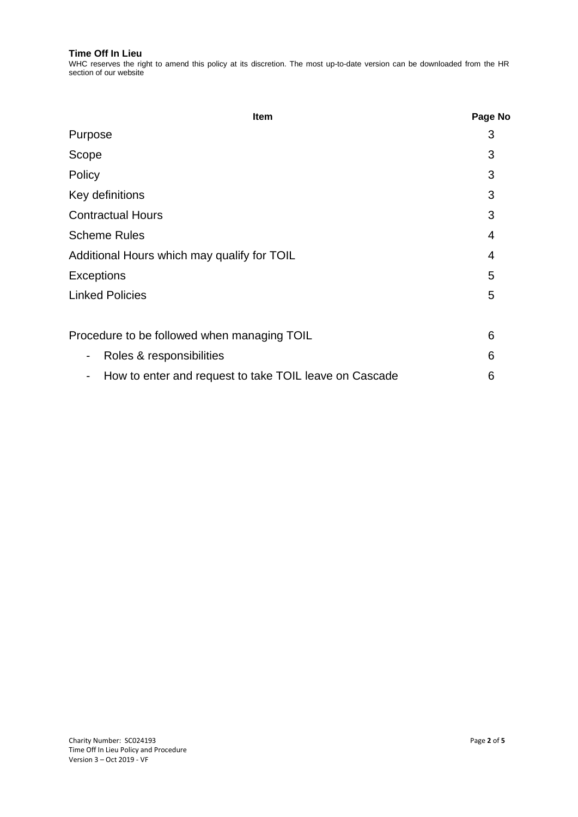WHC reserves the right to amend this policy at its discretion. The most up-to-date version can be downloaded from the HR section of our website

| Item                                                                               | Page No |
|------------------------------------------------------------------------------------|---------|
| Purpose                                                                            | 3       |
| Scope                                                                              | 3       |
| Policy                                                                             | 3       |
| Key definitions                                                                    | 3       |
| <b>Contractual Hours</b>                                                           | 3       |
| <b>Scheme Rules</b>                                                                | 4       |
| Additional Hours which may qualify for TOIL                                        | 4       |
| <b>Exceptions</b>                                                                  | 5       |
| <b>Linked Policies</b>                                                             | 5       |
| Procedure to be followed when managing TOIL                                        |         |
| Roles & responsibilities<br>-                                                      | 6       |
| How to enter and request to take TOIL leave on Cascade<br>$\overline{\phantom{a}}$ | 6       |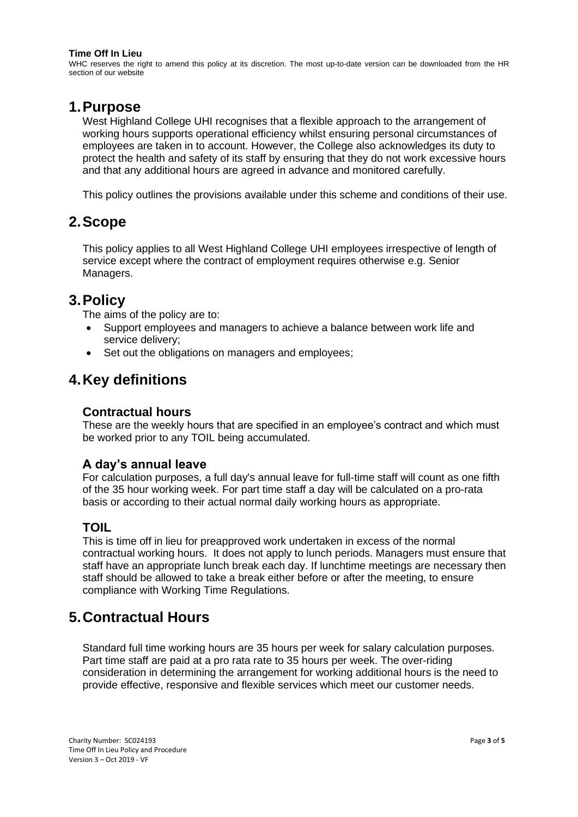WHC reserves the right to amend this policy at its discretion. The most up-to-date version can be downloaded from the HR section of our website

### **1.Purpose**

West Highland College UHI recognises that a flexible approach to the arrangement of working hours supports operational efficiency whilst ensuring personal circumstances of employees are taken in to account. However, the College also acknowledges its duty to protect the health and safety of its staff by ensuring that they do not work excessive hours and that any additional hours are agreed in advance and monitored carefully.

This policy outlines the provisions available under this scheme and conditions of their use.

## **2.Scope**

This policy applies to all West Highland College UHI employees irrespective of length of service except where the contract of employment requires otherwise e.g. Senior Managers.

## **3.Policy**

The aims of the policy are to:

- Support employees and managers to achieve a balance between work life and service delivery;
- Set out the obligations on managers and employees;

# **4.Key definitions**

### **Contractual hours**

These are the weekly hours that are specified in an employee's contract and which must be worked prior to any TOIL being accumulated.

### **A day's annual leave**

For calculation purposes, a full day's annual leave for full-time staff will count as one fifth of the 35 hour working week. For part time staff a day will be calculated on a pro-rata basis or according to their actual normal daily working hours as appropriate.

### **TOIL**

This is time off in lieu for preapproved work undertaken in excess of the normal contractual working hours. It does not apply to lunch periods. Managers must ensure that staff have an appropriate lunch break each day. If lunchtime meetings are necessary then staff should be allowed to take a break either before or after the meeting, to ensure compliance with Working Time Regulations.

# **5.Contractual Hours**

Standard full time working hours are 35 hours per week for salary calculation purposes. Part time staff are paid at a pro rata rate to 35 hours per week. The over-riding consideration in determining the arrangement for working additional hours is the need to provide effective, responsive and flexible services which meet our customer needs.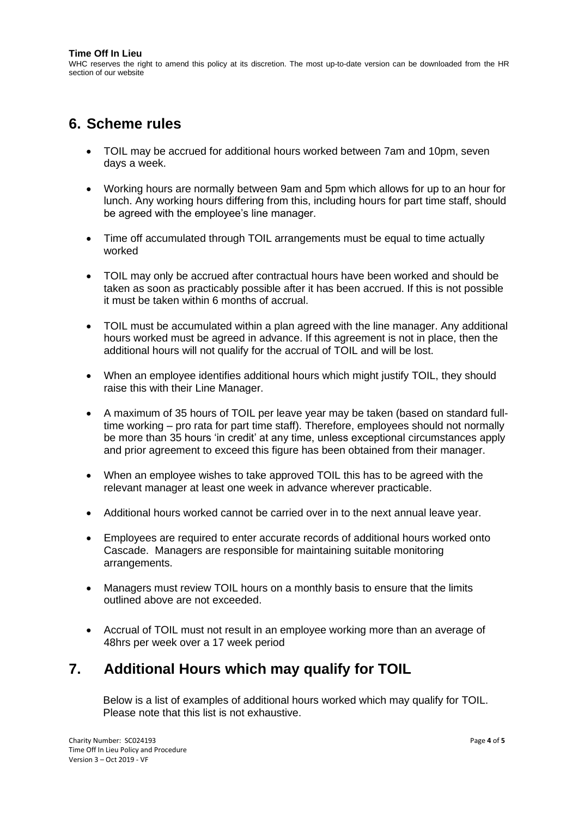WHC reserves the right to amend this policy at its discretion. The most up-to-date version can be downloaded from the HR section of our website

## **6. Scheme rules**

- TOIL may be accrued for additional hours worked between 7am and 10pm, seven days a week.
- Working hours are normally between 9am and 5pm which allows for up to an hour for lunch. Any working hours differing from this, including hours for part time staff, should be agreed with the employee's line manager.
- Time off accumulated through TOIL arrangements must be equal to time actually worked
- TOIL may only be accrued after contractual hours have been worked and should be taken as soon as practicably possible after it has been accrued. If this is not possible it must be taken within 6 months of accrual.
- TOIL must be accumulated within a plan agreed with the line manager. Any additional hours worked must be agreed in advance. If this agreement is not in place, then the additional hours will not qualify for the accrual of TOIL and will be lost.
- When an employee identifies additional hours which might justify TOIL, they should raise this with their Line Manager.
- A maximum of 35 hours of TOIL per leave year may be taken (based on standard fulltime working – pro rata for part time staff). Therefore, employees should not normally be more than 35 hours 'in credit' at any time, unless exceptional circumstances apply and prior agreement to exceed this figure has been obtained from their manager.
- When an employee wishes to take approved TOIL this has to be agreed with the relevant manager at least one week in advance wherever practicable.
- Additional hours worked cannot be carried over in to the next annual leave year.
- Employees are required to enter accurate records of additional hours worked onto Cascade. Managers are responsible for maintaining suitable monitoring arrangements.
- Managers must review TOIL hours on a monthly basis to ensure that the limits outlined above are not exceeded.
- Accrual of TOIL must not result in an employee working more than an average of 48hrs per week over a 17 week period

# **7. Additional Hours which may qualify for TOIL**

Below is a list of examples of additional hours worked which may qualify for TOIL. Please note that this list is not exhaustive.